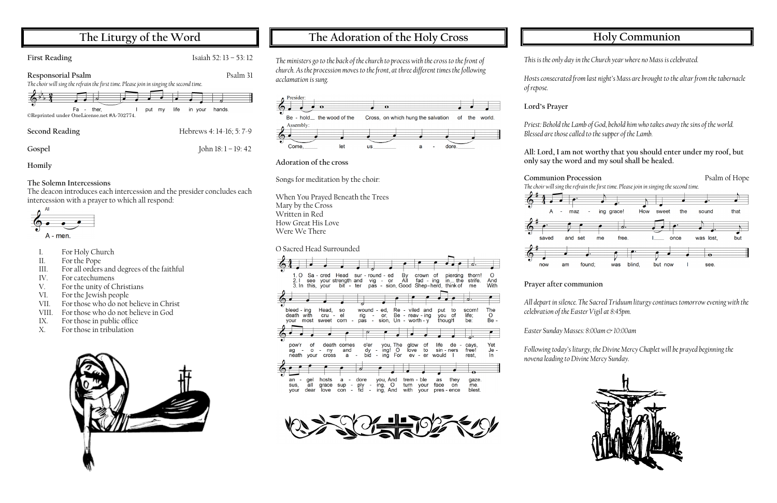## **The Liturgy of the Word**

**First Reading** Isaiah 52: 13 – 53: 12

**Responsorial Psalm** Psalm 31

*The choir will sing the refrain the first time. Please join in singing the second time.*



**Second Reading** Hebrews 4: 14-16; 5: 7-9

**Gospel** John 18: 1 – 19: 42

**Homily**

#### **The Solemn Intercessions**

- For Holy Church
- II. For the Pope
- III. For all orders and degrees of the faithful
- IV. For catechumens
- V. For the unity of Christians
- VI. For the Jewish people
- VII. For those who do not believe in Christ
- VIII. For those who do not believe in God
- IX. For those in public office
- X. For those in tribulation



The deacon introduces each intercession and the presider concludes each intercession with a prayer to which all respond:



## **The Adoration of the Holy Cross**





**Adoration of the cross**

Songs for meditation by the choir:

When You Prayed Beneath the Trees Mary by the Cross Written in Red How Great His Love Were We There

O Sacred Head Surrounded





# **Holy Communion**

*Hosts consecrated from last night*'s Mass are brought to the altar from the tabernacle

*This is the only day in the Church year where no Mass is celebrated.*

*of repose.* 

**Lord's Prayer**

*Priest: Behold the Lamb of God, behold him who takes away the sins of the world. Blessed are those called to the supper of the Lamb.*

#### **All: Lord, I am not worthy that you should enter under my roof, but only say the word and my soul shall be healed.**





**Prayer after communion**

*All depart in silence. The Sacred Triduum liturgy continues tomorrow evening with the celebration of the Easter Vigil at 8:45pm.*

*Easter Sunday Masses: 8:00am & 10:00am*

*Following today'sliturgy, the Divine Mercy Chaplet will be prayed beginning the novena leading to Divine Mercy Sunday.*